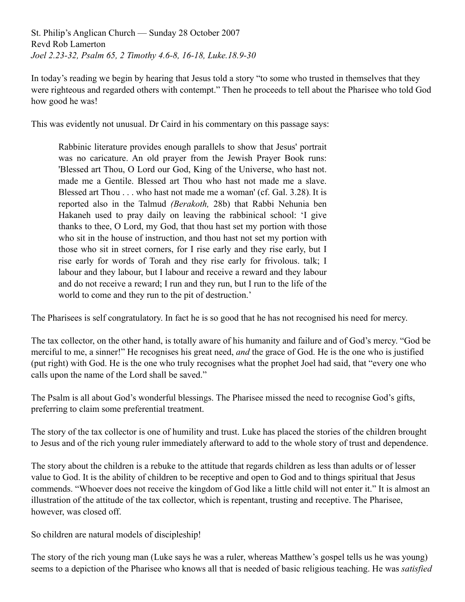St. Philip's Anglican Church — Sunday 28 October 2007 Revd Rob Lamerton *Joel 2.23-32, Psalm 65, 2 Timothy 4.6-8, 16-18, Luke.18.9-30*

In today's reading we begin by hearing that Jesus told a story "to some who trusted in themselves that they were righteous and regarded others with contempt." Then he proceeds to tell about the Pharisee who told God how good he was!

This was evidently not unusual. Dr Caird in his commentary on this passage says:

Rabbinic literature provides enough parallels to show that Jesus' portrait was no caricature. An old prayer from the Jewish Prayer Book runs: 'Blessed art Thou, O Lord our God, King of the Universe, who hast not. made me a Gentile. Blessed art Thou who hast not made me a slave. Blessed art Thou . . . who hast not made me a woman' (cf. Gal. 3.28). It is reported also in the Talmud *(Berakoth,* 28b) that Rabbi Nehunia ben Hakaneh used to pray daily on leaving the rabbinical school: 'I give thanks to thee, O Lord, my God, that thou hast set my portion with those who sit in the house of instruction, and thou hast not set my portion with those who sit in street corners, for I rise early and they rise early, but I rise early for words of Torah and they rise early for frivolous. talk; I labour and they labour, but I labour and receive a reward and they labour and do not receive a reward; I run and they run, but I run to the life of the world to come and they run to the pit of destruction.'

The Pharisees is self congratulatory. In fact he is so good that he has not recognised his need for mercy.

The tax collector, on the other hand, is totally aware of his humanity and failure and of God's mercy. "God be merciful to me, a sinner!" He recognises his great need, *and* the grace of God. He is the one who is justified (put right) with God. He is the one who truly recognises what the prophet Joel had said, that "every one who calls upon the name of the Lord shall be saved."

The Psalm is all about God's wonderful blessings. The Pharisee missed the need to recognise God's gifts, preferring to claim some preferential treatment.

The story of the tax collector is one of humility and trust. Luke has placed the stories of the children brought to Jesus and of the rich young ruler immediately afterward to add to the whole story of trust and dependence.

The story about the children is a rebuke to the attitude that regards children as less than adults or of lesser value to God. It is the ability of children to be receptive and open to God and to things spiritual that Jesus commends. "Whoever does not receive the kingdom of God like a little child will not enter it." It is almost an illustration of the attitude of the tax collector, which is repentant, trusting and receptive. The Pharisee, however, was closed off.

So children are natural models of discipleship!

The story of the rich young man (Luke says he was a ruler, whereas Matthew's gospel tells us he was young) seems to a depiction of the Pharisee who knows all that is needed of basic religious teaching. He was *satisfied*